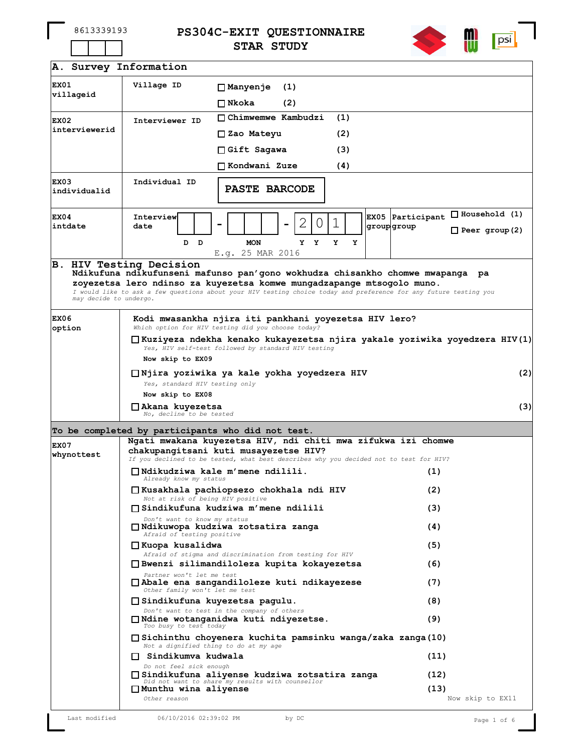## **PS304C-EXIT QUESTIONNAIRE STAR STUDY**



٦

## **A. Survey Information**

| A. Sulvey Information       |                                                                                                                                                                                                  |                                                          |             |             |            |                  |                                        |
|-----------------------------|--------------------------------------------------------------------------------------------------------------------------------------------------------------------------------------------------|----------------------------------------------------------|-------------|-------------|------------|------------------|----------------------------------------|
| EX01                        | Village ID                                                                                                                                                                                       | □ Manyenje                                               | (1)         |             |            |                  |                                        |
| villageid                   |                                                                                                                                                                                                  | $\Box$ Nkoka                                             | (2)         |             |            |                  |                                        |
| <b>EX02</b>                 | Interviewer ID                                                                                                                                                                                   | □ Chimwemwe Kambudzi                                     |             | (1)         |            |                  |                                        |
| interviewerid               |                                                                                                                                                                                                  | □ Zao Mateyu                                             |             | (2)         |            |                  |                                        |
|                             |                                                                                                                                                                                                  | □ Gift Sagawa                                            |             | (3)         |            |                  |                                        |
|                             |                                                                                                                                                                                                  | □ Kondwani Zuze                                          |             | (4)         |            |                  |                                        |
| <b>EX03</b><br>individualid | Individual ID                                                                                                                                                                                    | <b>PASTE BARCODE</b>                                     |             |             |            |                  |                                        |
| <b>EX04</b><br>intdate      | Interview<br>date<br>D D                                                                                                                                                                         | <b>MON</b><br>$E. q. 25$ MAR 2016                        | U<br>Y<br>Y | l<br>Y<br>Y | groupgroup | EX05 Participant | Household (1)<br>$\Box$ Peer group (2) |
|                             | <b>B. HIV Testing Decision</b><br>Ndikufuna ndikufunseni mafunso pan'qono wokhudza chisankho chomwe mwapanga pa                                                                                  |                                                          |             |             |            |                  |                                        |
| may decide to undergo.      | zoyezetsa lero ndinso za kuyezetsa komwe mungadzapange mtsogolo muno.<br>I would like to ask a few questions about your HIV testing choice today and preference for any future testing you       |                                                          |             |             |            |                  |                                        |
| <b>EX06</b>                 | Kodi mwasankha njira iti pankhani yoyezetsa HIV lero?                                                                                                                                            |                                                          |             |             |            |                  |                                        |
| option                      | Which option for HIV testing did you choose today?<br>$\square$ Kuziyeza ndekha kenako kukayezetsa njira yakale yoziwika yoyedzera HIV(1)<br>Yes, HIV self-test followed by standard HIV testing |                                                          |             |             |            |                  |                                        |
|                             | Now skip to EX09                                                                                                                                                                                 |                                                          |             |             |            |                  |                                        |
|                             | (2)<br>$\Box$ Njira yoziwika ya kale yokha yoyedzera HIV<br>Yes, standard HIV testing only<br>Now skip to EX08                                                                                   |                                                          |             |             |            |                  |                                        |
|                             | □ Akana kuyezetsa                                                                                                                                                                                |                                                          |             |             |            |                  | (3)                                    |
|                             | No, decline to be tested                                                                                                                                                                         |                                                          |             |             |            |                  |                                        |
| <b>EX07</b>                 | To be completed by participants who did not test.<br>Ngati mwakana kuyezetsa HIV, ndi chiti mwa zifukwa izi chomwe                                                                               |                                                          |             |             |            |                  |                                        |
| whynottest                  | chakupangitsani kuti musayezetse HIV?<br>If you declined to be tested, what best describes why you decided not to test for HIV?                                                                  |                                                          |             |             |            |                  |                                        |
|                             | $\Box$ Ndikudziwa kale m'mene ndilili.                                                                                                                                                           |                                                          |             |             |            | (1)              |                                        |
|                             | Already know my status<br>□ Kusakhala pachiopsezo chokhala ndi HIV                                                                                                                               |                                                          |             |             |            | (2)              |                                        |
|                             | Not at risk of being HIV positive<br>□ Sindikufuna kudziwa m'mene ndilili                                                                                                                        |                                                          |             |             |            | (3)              |                                        |
|                             | Don't want to know my status                                                                                                                                                                     |                                                          |             |             |            |                  |                                        |
|                             | □ Ndikuwopa kudziwa zotsatira zanga<br>Afraid of testing positive                                                                                                                                |                                                          |             |             |            | (4)              |                                        |
|                             | □ Kuopa kusalidwa                                                                                                                                                                                | Afraid of stigma and discrimination from testing for HIV |             |             |            | (5)              |                                        |
|                             | □ Bwenzi silimandiloleza kupita kokayezetsa                                                                                                                                                      |                                                          |             |             |            | (6)              |                                        |
|                             | Partner won't let me test<br>□ Abale ena sangandiloleze kuti ndikayezese<br>Other family won't let me test                                                                                       |                                                          |             |             |            | (7)              |                                        |
|                             | $\Box$ Sindikufuna kuyezetsa pagulu.                                                                                                                                                             |                                                          |             |             |            | (8)              |                                        |
|                             | □ Ndine wotanganidwa kuti ndiyezetse.                                                                                                                                                            | Don't want to test in the company of others              |             |             |            | (9)              |                                        |
|                             | Too busy to test today<br>□ Sichinthu choyenera kuchita pamsinku wanga/zaka zanga(10)<br>Not a dignified thing to do at my age                                                                   |                                                          |             |             |            |                  |                                        |
|                             | $\Box$ Sindikumva kudwala                                                                                                                                                                        |                                                          |             |             |            | (11)             |                                        |
|                             | Do not feel sick enough<br>□ Sindikufuna aliyense kudziwa zotsatira zanga                                                                                                                        |                                                          |             |             |            | (12)             |                                        |
|                             | □ Munthu wina aliyense<br>Other reason                                                                                                                                                           | Did not want to share my results with counsellor         |             |             |            | (13)             | Now skip to EX11                       |
| Last modified               | 06/10/2016 02:39:02 PM                                                                                                                                                                           |                                                          | by DC       |             |            |                  | Page 1 of 6                            |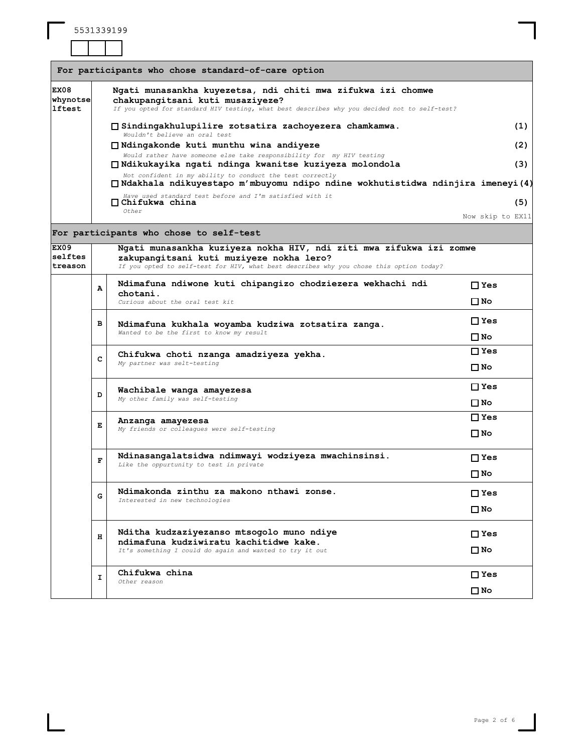| 5531339199 |  |  |
|------------|--|--|
|------------|--|--|

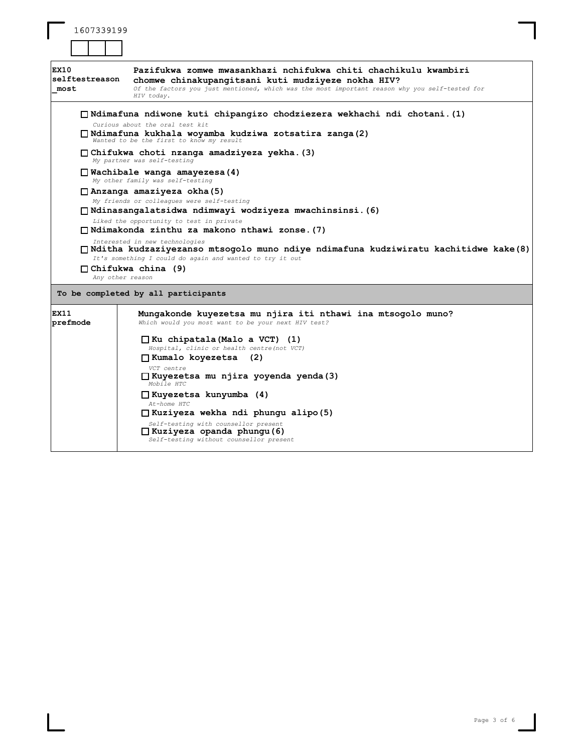| 1607339199                                                                                                                                                                                                                                                                     |
|--------------------------------------------------------------------------------------------------------------------------------------------------------------------------------------------------------------------------------------------------------------------------------|
|                                                                                                                                                                                                                                                                                |
|                                                                                                                                                                                                                                                                                |
| <b>EX10</b><br>Pazifukwa zomwe mwasankhazi nchifukwa chiti chachikulu kwambiri<br>selftestreason<br>chomwe chinakupangitsani kuti mudziyeze nokha HIV?<br>most<br>Of the factors you just mentioned, which was the most important reason why you self-tested for<br>HIV today. |
| □ Ndimafuna ndiwone kuti chipangizo chodziezera wekhachi ndi chotani.(1)<br>Curious about the oral test kit<br>□ Ndimafuna kukhala woyamba kudziwa zotsatira zanga(2)<br>Wanted to be the first to know my result                                                              |
| $\Box$ Chifukwa choti nzanga amadziyeza yekha.(3)<br>My partner was self-testing                                                                                                                                                                                               |
| ∐Wachibale wanga amayezesa(4)<br>My other family was self-testing                                                                                                                                                                                                              |
| $\Box$ Anzanga amaziyeza okha $(5)$<br>My friends or colleagues were self-testing<br>□ Ndinasangalatsidwa ndimwayi wodziyeza mwachinsinsi.(6)                                                                                                                                  |
| Liked the opportunity to test in private<br>$\Box$ Ndimakonda zinthu za makono nthawi zonse. (7)                                                                                                                                                                               |
| Interested in new technologies<br>□ Nditha kudzaziyezanso mtsogolo muno ndiye ndimafuna kudziwiratu kachitidwe kake(8)<br>It's something I could do again and wanted to try it out                                                                                             |
| $\Box$ Chifukwa china (9)<br>Any other reason                                                                                                                                                                                                                                  |
| To be completed by all participants                                                                                                                                                                                                                                            |
| EX11<br>Mungakonde kuyezetsa mu njira iti nthawi ina mtsogolo muno?<br>prefmode<br>Which would you most want to be your next HIV test?                                                                                                                                         |
| $\Box$ Ku chipatala (Malo a VCT) (1)<br>Hospital, clinic or health centre (not VCT)                                                                                                                                                                                            |
| $\Box$ Kumalo koyezetsa (2)                                                                                                                                                                                                                                                    |
| VCT centre<br>□ Kuyezetsa mu njira yoyenda yenda(3)<br>Mobile HTC                                                                                                                                                                                                              |
| $\Box$ Kuyezetsa kunyumba (4)<br>At-home HTC                                                                                                                                                                                                                                   |
| $\Box$ Kuziyeza wekha ndi phungu alipo(5)                                                                                                                                                                                                                                      |
| Self-testing with counsellor present<br>$\Box$ Kuziyeza opanda phungu (6)<br>Self-testing without counsellor present                                                                                                                                                           |

 $\overline{\phantom{a}}$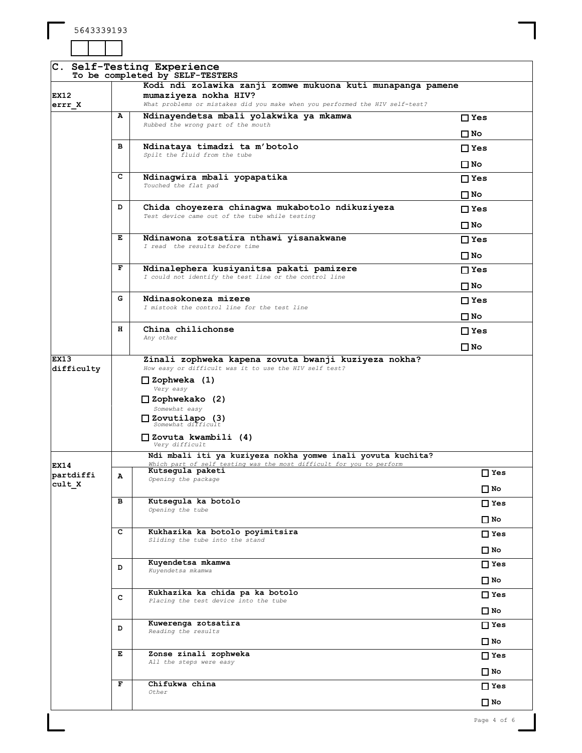5643339193

 $\Box$  $\overline{1}$ I

|                   |   | C. Self-Testing Experience<br>To be completed by SELF-TESTERS                                         |                            |
|-------------------|---|-------------------------------------------------------------------------------------------------------|----------------------------|
|                   |   | Kodi ndi zolawika zanji zomwe mukuona kuti munapanga pamene                                           |                            |
| EX12<br>errr X    |   | mumaziyeza nokha HIV?<br>What problems or mistakes did you make when you performed the HIV self-test? |                            |
|                   | A | Ndinayendetsa mbali yolakwika ya mkamwa                                                               | $\sqcap$ Yes               |
|                   |   | Rubbed the wrong part of the mouth                                                                    | ⊟ No                       |
|                   | в | Ndinataya timadzi ta m'botolo                                                                         | $\Box$ Yes                 |
|                   |   | Spilt the fluid from the tube                                                                         | $\Box$ No                  |
|                   | с | Ndinagwira mbali yopapatika                                                                           | $\square$ Yes              |
|                   |   | Touched the flat pad                                                                                  | □ No                       |
|                   | D | Chida choyezera chinagwa mukabotolo ndikuziyeza                                                       | $\square$ Yes              |
|                   |   | Test device came out of the tube while testing                                                        | □ No                       |
|                   | Е | Ndinawona zotsatira nthawi yisanakwane                                                                | $\Box$ Yes                 |
|                   |   | I read the results before time                                                                        | □ No                       |
|                   | F | Ndinalephera kusiyanitsa pakati pamizere                                                              | $\square$ Yes              |
|                   |   | I could not identify the test line or the control line                                                | $\square$ No               |
|                   | G | Ndinasokoneza mizere                                                                                  | $\square$ Yes              |
|                   |   | I mistook the control line for the test line                                                          |                            |
|                   | н | China chilichonse                                                                                     | $\square$ No               |
|                   |   | Any other                                                                                             | $\square$ Yes              |
| EX13              |   | Zinali zophweka kapena zovuta bwanji kuziyeza nokha?                                                  | ⊟ No                       |
| difficulty        |   | How easy or difficult was it to use the HIV self test?                                                |                            |
|                   |   | $\Box$ Zophweka (1)<br>Very easy                                                                      |                            |
|                   |   | $\Box$ Zophwekako (2)                                                                                 |                            |
|                   |   | Somewhat easy<br>$\Box$ Zovutilapo (3)                                                                |                            |
|                   |   | Somewhat difficult                                                                                    |                            |
|                   |   | $\Box$ Zovuta kwambili (4)<br>Very difficult                                                          |                            |
|                   |   | Ndi mbali iti ya kuziyeza nokha yomwe inali yovuta kuchita?                                           |                            |
| EX14<br>partdiffi | A | Which part of self testing was the most difficult for you to perform<br>Kutsegula paketi              | $\Box$ Yes                 |
| cult_X            |   | Opening the package                                                                                   | $\Box$ No                  |
|                   | в | Kutsegula ka botolo                                                                                   | $\Box$ Yes                 |
|                   |   | Opening the tube                                                                                      | $\square$ No               |
|                   | с | Kukhazika ka botolo poyimitsira                                                                       | $\Box$ Yes                 |
|                   |   | Sliding the tube into the stand                                                                       | $\square$ No               |
|                   |   | Kuyendetsa mkamwa                                                                                     | $\Box$ Yes                 |
|                   | D | Kuyendetsa mkamwa                                                                                     | $\Box$ No                  |
|                   |   | Kukhazika ka chida pa ka botolo                                                                       | $\Box$ Yes                 |
|                   | с | Placing the test device into the tube                                                                 |                            |
|                   |   | Kuwerenga zotsatira                                                                                   | $\square$ No<br>$\Box$ Yes |
|                   | D | Reading the results                                                                                   |                            |
|                   | E | Zonse zinali zophweka                                                                                 | $\square$ No               |
|                   |   | All the steps were easy                                                                               | $\Box$ Yes                 |
|                   |   |                                                                                                       | $\Box$ No                  |
|                   | F | Chifukwa china<br>Other                                                                               | $\Box$ Yes                 |
|                   |   |                                                                                                       | $\square$ No               |
|                   |   |                                                                                                       | Page 4 of 6                |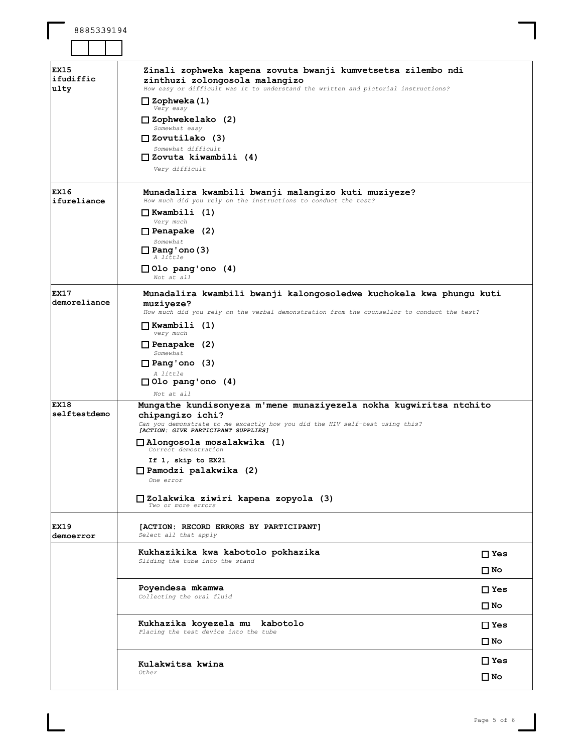8885339194

| <b>EX15</b><br>ifudiffic<br>ulty | Zinali zophweka kapena zovuta bwanji kumvetsetsa zilembo ndi<br>zinthuzi zolongosola malangizo<br>How easy or difficult was it to understand the written and pictorial instructions?<br>$\square$ Zophweka (1) |               |
|----------------------------------|----------------------------------------------------------------------------------------------------------------------------------------------------------------------------------------------------------------|---------------|
|                                  | Very easy                                                                                                                                                                                                      |               |
|                                  | □ Zophwekelako (2)<br>Somewhat easy                                                                                                                                                                            |               |
|                                  | $\Box$ Zovutilako (3)<br>Somewhat difficult                                                                                                                                                                    |               |
|                                  | □ Zovuta kiwambili (4)<br>Very difficult                                                                                                                                                                       |               |
| <b>EX16</b><br>ifureliance       | Munadalira kwambili bwanji malangizo kuti muziyeze?<br>How much did you rely on the instructions to conduct the test?                                                                                          |               |
|                                  | $\Box$ Kwambili (1)<br>Very much                                                                                                                                                                               |               |
|                                  | $\Box$ Penapake (2)                                                                                                                                                                                            |               |
|                                  | Somewhat<br>$\Box$ Pang'ono (3)<br>A little                                                                                                                                                                    |               |
|                                  | ∐Olo pang'ono (4)<br>Not at all                                                                                                                                                                                |               |
| EX17<br>demoreliance             | Munadalira kwambili bwanji kalongosoledwe kuchokela kwa phungu kuti<br>muziyeze?<br>How much did you rely on the verbal demonstration from the counsellor to conduct the test?                                 |               |
|                                  | □ Kwambili (1)<br>very much                                                                                                                                                                                    |               |
|                                  | $\Box$ Penapake (2)<br>Somewhat                                                                                                                                                                                |               |
|                                  | $\Box$ Pang'ono (3)<br>A little<br>$\Box$ Olo pang'ono (4)                                                                                                                                                     |               |
|                                  | Not at all                                                                                                                                                                                                     |               |
| <b>EX18</b><br>selftestdemo      | Mungathe kundisonyeza m'mene munaziyezela nokha kugwiritsa ntchito<br>chipangizo ichi?<br>Can you demonstrate to me excactly how you did the HIV self-test using this?<br>[ACTION: GIVE PARTICIPANT SUPPLIES]  |               |
|                                  | ∐Alongosola mosalakwika (1)<br>Correct demostration                                                                                                                                                            |               |
|                                  | If 1, skip to EX21<br>□ Pamodzi palakwika (2)<br>One error                                                                                                                                                     |               |
|                                  | $\Box$ Zolakwika ziwiri kapena zopyola (3)<br>Two or more errors                                                                                                                                               |               |
| EX19<br>demoerror                | [ACTION: RECORD ERRORS BY PARTICIPANT]<br>Select all that apply                                                                                                                                                |               |
|                                  | Kukhazikika kwa kabotolo pokhazika<br>Sliding the tube into the stand                                                                                                                                          | $\Box$ Yes    |
|                                  |                                                                                                                                                                                                                | ⊟ No          |
|                                  | Poyendesa mkamwa<br>Collecting the oral fluid                                                                                                                                                                  | $\square$ Yes |
|                                  |                                                                                                                                                                                                                | $\square$ No  |
|                                  | Kukhazika koyezela mu kabotolo                                                                                                                                                                                 | $\Box$ Yes    |
|                                  | Placing the test device into the tube                                                                                                                                                                          | $\square$ No  |
|                                  | Kulakwitsa kwina                                                                                                                                                                                               | $\Box$ Yes    |
|                                  | Other                                                                                                                                                                                                          | $\square$ No  |
|                                  |                                                                                                                                                                                                                |               |